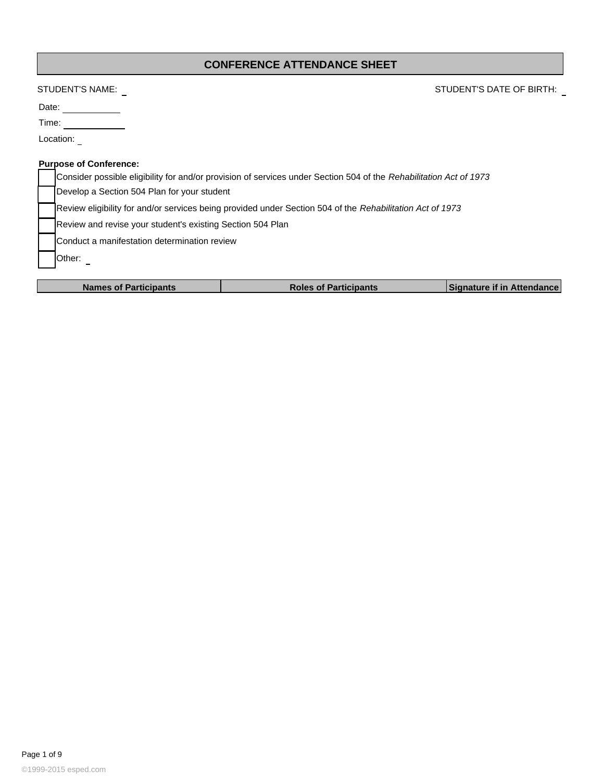### **CONFERENCE ATTENDANCE SHEET**

# STUDENT'S NAME: STUDENT'S DATE OF BIRTH:

Date:

| ÷<br>IT T<br>۰. |  |
|-----------------|--|
|                 |  |

Location: \_

#### **Purpose of Conference:**

| Consider possible eligibility for and/or provision of services under Section 504 of the Rehabilitation Act of 1973 |
|--------------------------------------------------------------------------------------------------------------------|
| Develop a Section 504 Plan for your student                                                                        |
| Review eligibility for and/or services being provided under Section 504 of the Rehabilitation Act of 1973          |
| Review and revise your student's existing Section 504 Plan                                                         |
| Conduct a manifestation determination review                                                                       |
| <b>IOther:</b>                                                                                                     |
|                                                                                                                    |

| <b>Names of Participants</b> | <b>Roles of Participants</b> | Signature if in Attendance |
|------------------------------|------------------------------|----------------------------|
|                              |                              |                            |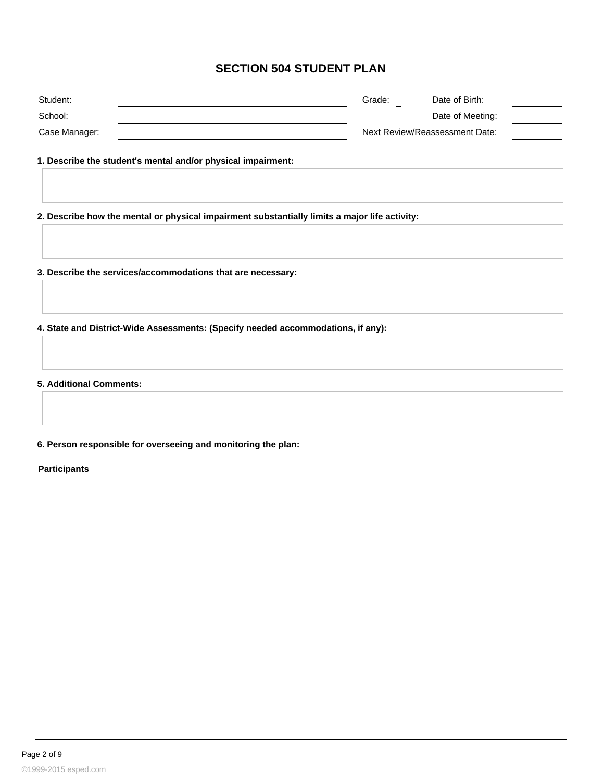### **SECTION 504 STUDENT PLAN**

| Student:      | Date of Birth:<br>Grade:<br>-  |  |
|---------------|--------------------------------|--|
| School:       | Date of Meeting:               |  |
| Case Manager: | Next Review/Reassessment Date: |  |

**1. Describe the student's mental and/or physical impairment:**

**2. Describe how the mental or physical impairment substantially limits a major life activity:**

**3. Describe the services/accommodations that are necessary:**

**4. State and District-Wide Assessments: (Specify needed accommodations, if any):**

**5. Additional Comments:**

**6. Person responsible for overseeing and monitoring the plan:**

**Participants**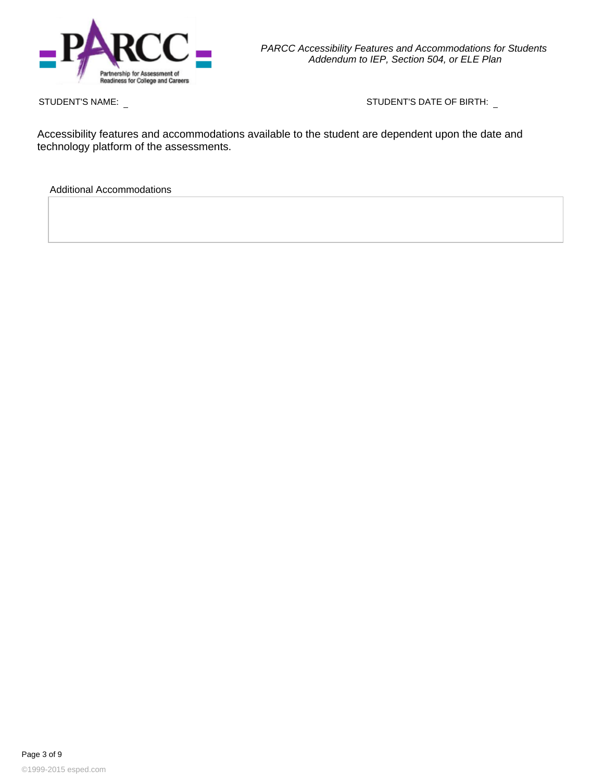

STUDENT'S NAME: STUDENT'S DATE OF BIRTH:

Accessibility features and accommodations available to the student are dependent upon the date and technology platform of the assessments.

Additional Accommodations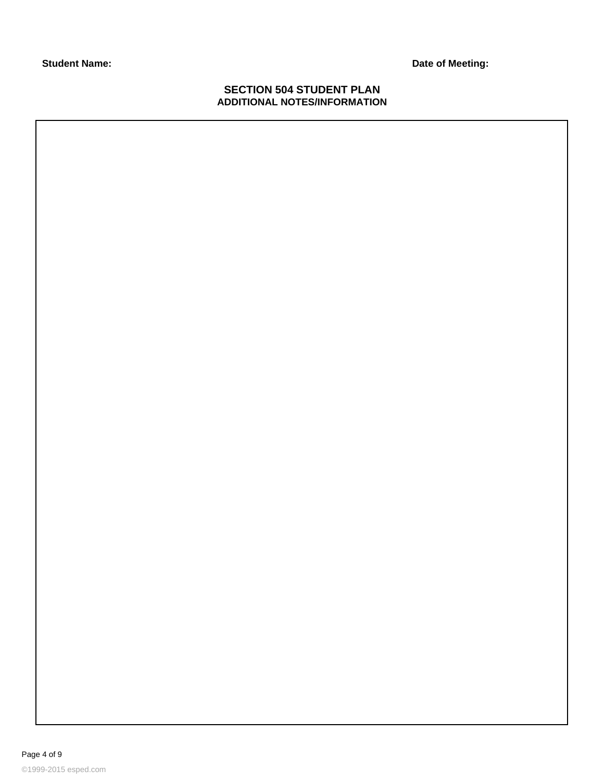**Student Name: Date of Meeting:**

### **SECTION 504 STUDENT PLAN ADDITIONAL NOTES/INFORMATION**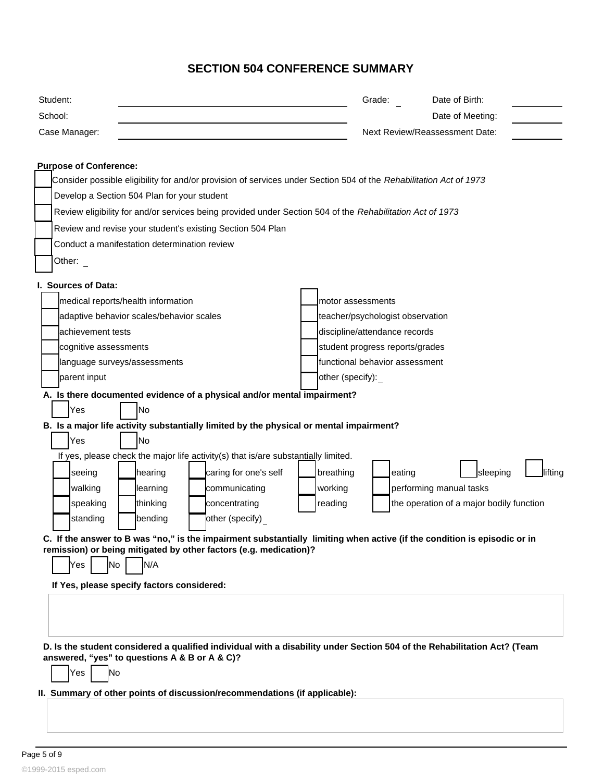# **SECTION 504 CONFERENCE SUMMARY**

| Student:                                                                                                                                                                  | Grade:                           | Date of Birth:                           |  |  |  |  |
|---------------------------------------------------------------------------------------------------------------------------------------------------------------------------|----------------------------------|------------------------------------------|--|--|--|--|
| School:                                                                                                                                                                   |                                  | Date of Meeting:                         |  |  |  |  |
| Case Manager:                                                                                                                                                             |                                  | <b>Next Review/Reassessment Date:</b>    |  |  |  |  |
|                                                                                                                                                                           |                                  |                                          |  |  |  |  |
| <b>Purpose of Conference:</b>                                                                                                                                             |                                  |                                          |  |  |  |  |
| Consider possible eligibility for and/or provision of services under Section 504 of the Rehabilitation Act of 1973                                                        |                                  |                                          |  |  |  |  |
| Develop a Section 504 Plan for your student                                                                                                                               |                                  |                                          |  |  |  |  |
| Review eligibility for and/or services being provided under Section 504 of the Rehabilitation Act of 1973                                                                 |                                  |                                          |  |  |  |  |
| Review and revise your student's existing Section 504 Plan                                                                                                                |                                  |                                          |  |  |  |  |
| Conduct a manifestation determination review                                                                                                                              |                                  |                                          |  |  |  |  |
| Other: $\overline{\phantom{a}}$                                                                                                                                           |                                  |                                          |  |  |  |  |
|                                                                                                                                                                           |                                  |                                          |  |  |  |  |
| I. Sources of Data:                                                                                                                                                       |                                  |                                          |  |  |  |  |
| medical reports/health information                                                                                                                                        | motor assessments                |                                          |  |  |  |  |
| adaptive behavior scales/behavior scales                                                                                                                                  | teacher/psychologist observation |                                          |  |  |  |  |
| achievement tests                                                                                                                                                         | discipline/attendance records    |                                          |  |  |  |  |
| cognitive assessments                                                                                                                                                     | student progress reports/grades  |                                          |  |  |  |  |
| language surveys/assessments                                                                                                                                              | functional behavior assessment   |                                          |  |  |  |  |
| parent input                                                                                                                                                              | other (specify):                 |                                          |  |  |  |  |
| A. Is there documented evidence of a physical and/or mental impairment?                                                                                                   |                                  |                                          |  |  |  |  |
| Yes<br>lNo                                                                                                                                                                |                                  |                                          |  |  |  |  |
| B. Is a major life activity substantially limited by the physical or mental impairment?                                                                                   |                                  |                                          |  |  |  |  |
| Yes<br>No                                                                                                                                                                 |                                  |                                          |  |  |  |  |
| If yes, please check the major life activity(s) that is/are substantially limited.                                                                                        |                                  |                                          |  |  |  |  |
| caring for one's self<br>seeing<br>hearing                                                                                                                                | breathing                        | sleeping<br>lifting<br>eating            |  |  |  |  |
| walking<br>learning<br>communicating                                                                                                                                      | working                          | performing manual tasks                  |  |  |  |  |
| speaking<br>thinking<br>concentrating                                                                                                                                     | reading                          | the operation of a major bodily function |  |  |  |  |
| standing<br>bending<br>other (specify)                                                                                                                                    |                                  |                                          |  |  |  |  |
| C. If the answer to B was "no," is the impairment substantially limiting when active (if the condition is episodic or in                                                  |                                  |                                          |  |  |  |  |
| remission) or being mitigated by other factors (e.g. medication)?                                                                                                         |                                  |                                          |  |  |  |  |
| N/A<br> No<br>Yes                                                                                                                                                         |                                  |                                          |  |  |  |  |
| If Yes, please specify factors considered:                                                                                                                                |                                  |                                          |  |  |  |  |
|                                                                                                                                                                           |                                  |                                          |  |  |  |  |
|                                                                                                                                                                           |                                  |                                          |  |  |  |  |
|                                                                                                                                                                           |                                  |                                          |  |  |  |  |
| D. Is the student considered a qualified individual with a disability under Section 504 of the Rehabilitation Act? (Team<br>answered, "yes" to questions A & B or A & C)? |                                  |                                          |  |  |  |  |
| N <sub>o</sub><br>Yes                                                                                                                                                     |                                  |                                          |  |  |  |  |
|                                                                                                                                                                           |                                  |                                          |  |  |  |  |
| II. Summary of other points of discussion/recommendations (if applicable):                                                                                                |                                  |                                          |  |  |  |  |
|                                                                                                                                                                           |                                  |                                          |  |  |  |  |
|                                                                                                                                                                           |                                  |                                          |  |  |  |  |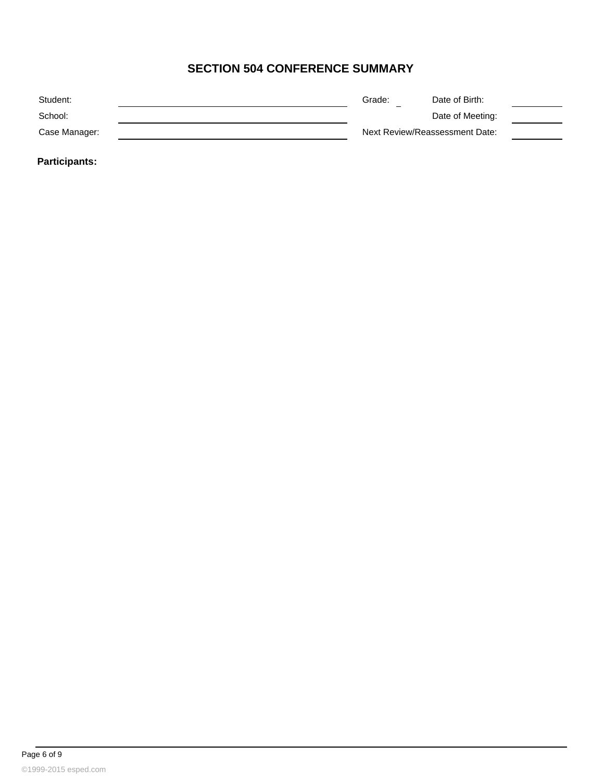# **SECTION 504 CONFERENCE SUMMARY**

| Student:      | Grade:<br>- | Date of Birth:                 |  |
|---------------|-------------|--------------------------------|--|
| School:       |             | Date of Meeting:               |  |
| Case Manager: |             | Next Review/Reassessment Date: |  |
|               |             |                                |  |

**Participants:**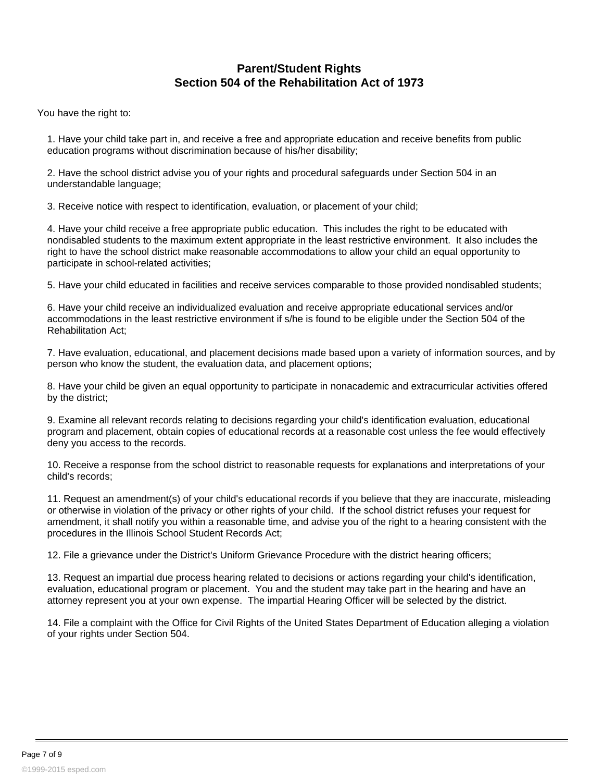## **Parent/Student Rights Section 504 of the Rehabilitation Act of 1973**

You have the right to:

1. Have your child take part in, and receive a free and appropriate education and receive benefits from public education programs without discrimination because of his/her disability;

2. Have the school district advise you of your rights and procedural safeguards under Section 504 in an understandable language;

3. Receive notice with respect to identification, evaluation, or placement of your child;

4. Have your child receive a free appropriate public education. This includes the right to be educated with nondisabled students to the maximum extent appropriate in the least restrictive environment. It also includes the right to have the school district make reasonable accommodations to allow your child an equal opportunity to participate in school-related activities;

5. Have your child educated in facilities and receive services comparable to those provided nondisabled students;

6. Have your child receive an individualized evaluation and receive appropriate educational services and/or accommodations in the least restrictive environment if s/he is found to be eligible under the Section 504 of the Rehabilitation Act;

7. Have evaluation, educational, and placement decisions made based upon a variety of information sources, and by person who know the student, the evaluation data, and placement options;

8. Have your child be given an equal opportunity to participate in nonacademic and extracurricular activities offered by the district;

9. Examine all relevant records relating to decisions regarding your child's identification evaluation, educational program and placement, obtain copies of educational records at a reasonable cost unless the fee would effectively deny you access to the records.

10. Receive a response from the school district to reasonable requests for explanations and interpretations of your child's records;

11. Request an amendment(s) of your child's educational records if you believe that they are inaccurate, misleading or otherwise in violation of the privacy or other rights of your child. If the school district refuses your request for amendment, it shall notify you within a reasonable time, and advise you of the right to a hearing consistent with the procedures in the Illinois School Student Records Act;

12. File a grievance under the District's Uniform Grievance Procedure with the district hearing officers;

13. Request an impartial due process hearing related to decisions or actions regarding your child's identification, evaluation, educational program or placement. You and the student may take part in the hearing and have an attorney represent you at your own expense. The impartial Hearing Officer will be selected by the district.

14. File a complaint with the Office for Civil Rights of the United States Department of Education alleging a violation of your rights under Section 504.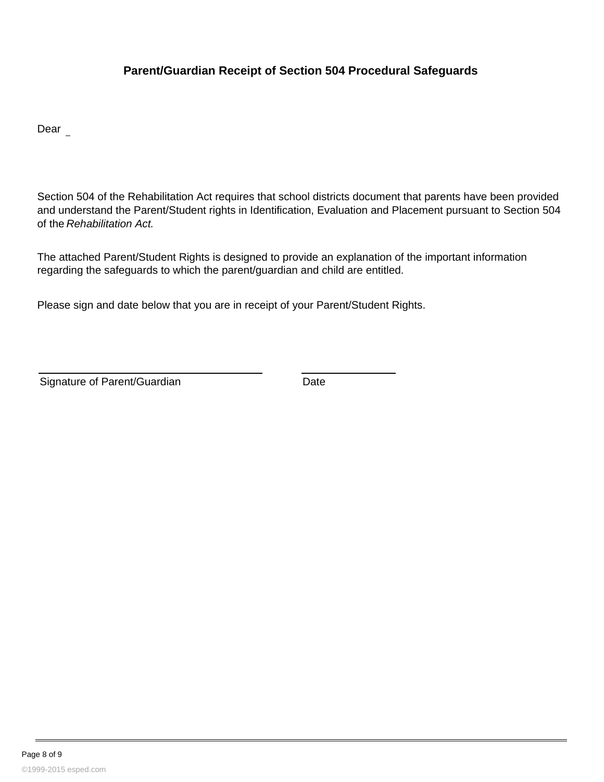## **Parent/Guardian Receipt of Section 504 Procedural Safeguards**

Dear

Section 504 of the Rehabilitation Act requires that school districts document that parents have been provided and understand the Parent/Student rights in Identification, Evaluation and Placement pursuant to Section 504 of the Rehabilitation Act.

The attached Parent/Student Rights is designed to provide an explanation of the important information regarding the safeguards to which the parent/guardian and child are entitled.

Please sign and date below that you are in receipt of your Parent/Student Rights.

Signature of Parent/Guardian Date